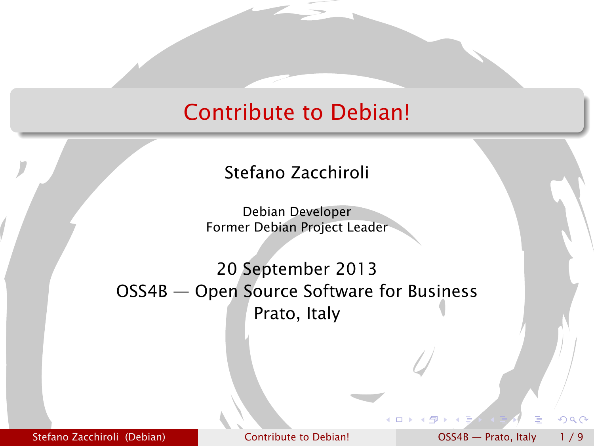#### Contribute to Debian!

Stefano Zacchiroli

Debian Developer Former Debian Project Leader

20 September 2013 OSS4B — Open Source Software for Business Prato, Italy

Stefano Zacchiroli (Debian) [Contribute to Debian!](#page-8-0) OSS4B — Prato, Italy 1/9

<span id="page-0-0"></span> $\Omega$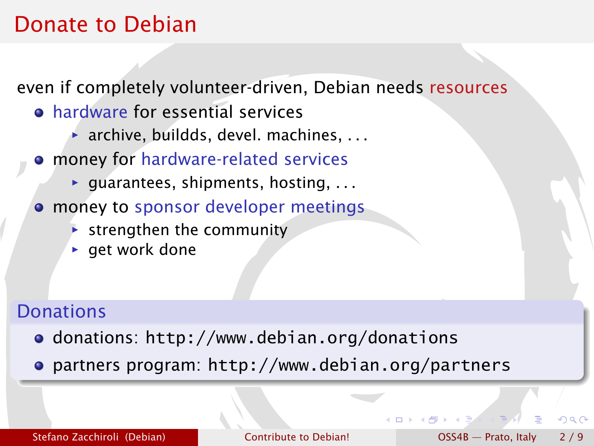#### Donate to Debian

even if completely volunteer-driven, Debian needs resources

- hardware for essential services
	- **▶ archive, buildds, devel. machines, ...**
- money for hardware-related services
	- ▶ guarantees, shipments, hosting, . . .
- **money to sponsor developer meetings** 
	- **Follo strengthen the community**
	- **P** get work done

#### **Donations**

- donations: <http://www.debian.org/donations>
- partners program: <http://www.debian.org/partners>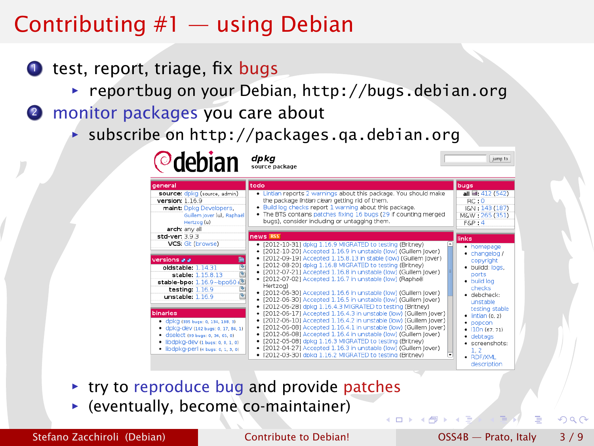## Contributing #1 — using Debian

- $\bullet$  test, report, triage, fix bugs
	- **▶ reportbug on your Debian, <http://bugs.debian.org>**
- 2 monitor packages you care about

**Odobian** dpkg

**▶ subscribe on http://packages.ga.debian.org** 

| general                                                                                                                                                                                                | todo                                                                                                                                                                                                                                                                                                                                                                                                                                                                                                                                            | bugs                                                                                                                                         |
|--------------------------------------------------------------------------------------------------------------------------------------------------------------------------------------------------------|-------------------------------------------------------------------------------------------------------------------------------------------------------------------------------------------------------------------------------------------------------------------------------------------------------------------------------------------------------------------------------------------------------------------------------------------------------------------------------------------------------------------------------------------------|----------------------------------------------------------------------------------------------------------------------------------------------|
| source: dpkg (source, admin)<br>version: 1.16.9<br>maint: Dpkg Developers,<br>Guillem Jover (u), Raphaël<br>Hertzog (u)<br>arch: any all                                                               | . Lintian reports 2 warnings about this package. You should make<br>the package lintian clean getting rid of them.<br>. Build log checks report 1 warning about this package.<br>The BTS contains patches fixing 16 bugs (29 if counting merged<br>bugs), consider including or untagging them.                                                                                                                                                                                                                                                 | all @: 412 (542)<br>RC:0<br>I&N: 143 (187)<br>M&W: 265 (351)<br>$F\&P:4$                                                                     |
| std-ver: 3.9.3                                                                                                                                                                                         | news RSS                                                                                                                                                                                                                                                                                                                                                                                                                                                                                                                                        | links                                                                                                                                        |
| VCS: Git (browse)                                                                                                                                                                                      | · [2012-10-31] dpkg 1.16.9 MIGRATED to testing (Britney)<br>· [2012-10-20] Accepted 1.16.9 in unstable (low) (Guillem lover)                                                                                                                                                                                                                                                                                                                                                                                                                    | • homepage<br>$\bullet$ changelog /                                                                                                          |
| 艷<br>versions a a<br>G<br>oldstable: 1.14.31<br>¢<br>stable: 1.15.8.13<br>stable-bpo: 1.16.9~bpo60+<br>医<br>testing: $1.16.9$<br>unstable: 1.16.9                                                      | [2012-09-19] Accepted 1.15.8.13 in stable (low) (Guillem lover)<br>٠<br>· [2012-08-20] dpkg 1.16.8 MIGRATED to testing (Britney)<br>· [2012-07-21] Accepted 1.16.8 in unstable (low) (Guillem Jover)<br>· [2012-07-02] Accepted 1.16.7 in unstable (low) (Raphaël<br>Hertzog)<br>· [2012-06-30] Accepted 1.16.6 in unstable (low) (Guillem Jover)<br>· [2012-06-30] Accepted 1.16.5 in unstable (low) (Guillem Jover)                                                                                                                           | copyright<br>· buildd: logs,<br>ports<br>· build log<br>checks<br>· debcheck:<br>unstable                                                    |
| binaries<br>• CDKG (335 bugs: 0, 134, 198, 3)<br>· dpkg-dev (102 bugs: 0, 17, 84, 1)<br>· dselect (99 bugs: 0, 34, 65, 0)<br>· libdpkg-dev (1 bugs: 0, 0, 1, 0)<br>· libdpkg-perl (4 bugs: 0, 1, 3, 0) | · [2012-06-28] dokg 1.16.4.3 MIGRATED to testing (Britney)<br>· [2012-06-17] Accepted 1.16.4.3 in unstable (low) (Guillem lover)<br>[2012-06-10] Accepted 1.16.4.2 in unstable (low) (Guillem Jover)<br>٠<br>· [2012-06-08] Accepted 1.16.4.1 in unstable (low) (Guillem Jover)<br>· [2012-06-08] Accepted 1.16.4 in unstable (low) (Guillem Jover)<br>· [2012-05-08] doka 1.16.3 MIGRATED to testing (Britney)<br>· [2012-04-27] Accepted 1.16.3 in unstable (low) (Guillem Jover)<br>· [2012-03-30] dokg 1.16.2 MIGRATED to testing (Britney) | testing stable<br>$\bullet$ lintian (0, 2)<br>$\bullet$ popcon<br>$+ 10n(67, 71)$<br>$\bullet$ debtags<br>· screenshots:<br>1.2<br>· RDF/XML |

- **► try to reproduce bug and provide patches**
- **F** (eventually, become co-maintainer)

Stefano Zacchiroli (Debian) [Contribute to Debian!](#page-0-0) COSS4B — Prato, Italy 3/9

つQへ

jumn to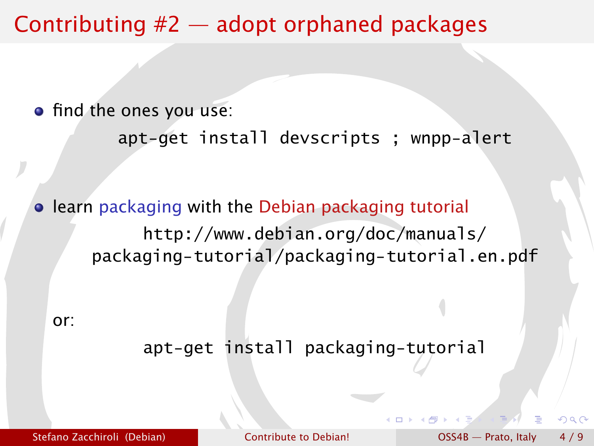#### Contributing #2 — adopt orphaned packages

• find the ones you use:

```
apt-get install devscripts ; wnpp-alert
```
**• learn packaging with the Debian packaging tutorial** [http://www.debian.org/doc/manuals/](http://www.debian.org/doc/manuals/packaging-tutorial/packaging-tutorial.en.pdf) [packaging-tutorial/packaging-tutorial.en.pdf](http://www.debian.org/doc/manuals/packaging-tutorial/packaging-tutorial.en.pdf)

or:

apt-get install packaging-tutorial

 $\cap$  a  $\cap$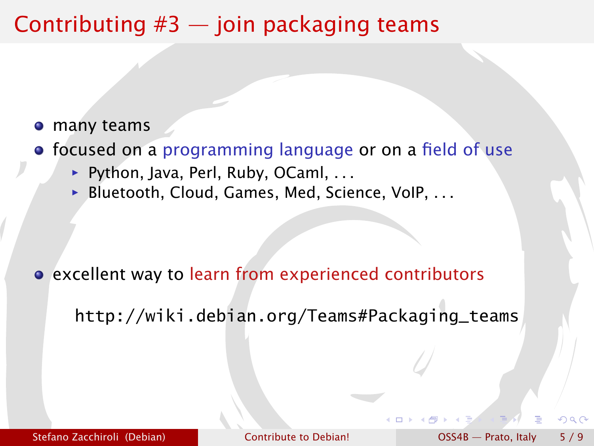### Contributing  $#3$  — join packaging teams

- many teams
- focused on a programming language or on a field of use
	- **▶ Python, Java, Perl, Ruby, OCaml, . . .**
	- ▶ Bluetooth, Cloud, Games, Med, Science, VoIP, . . .

excellent way to learn from experienced contributors

[http://wiki.debian.org/Teams#Packaging\\_teams](http://wiki.debian.org/Teams#Packaging_teams)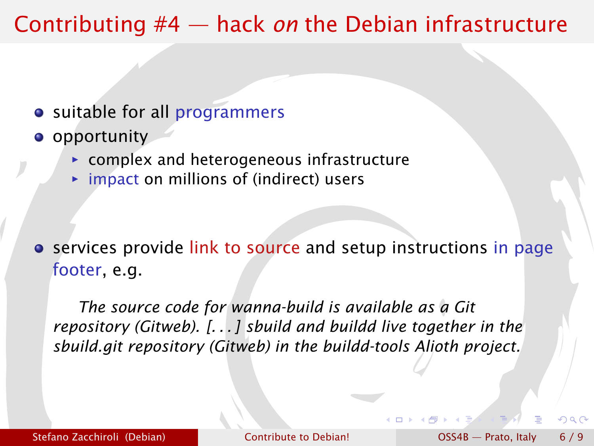### Contributing #4 — hack *on* the Debian infrastructure

- suitable for all programmers
- **o** opportunity
	- **Follow** complex and heterogeneous infrastructure
	- **►** impact on millions of (indirect) users

**•** services provide link to source and setup instructions in page footer, e.g.

*The source code for wanna-build is available as a [Git](git://git.debian.org/mirror/wanna-build.git) [repository](git://git.debian.org/mirror/wanna-build.git) [\(Gitweb\)](http://git.debian.org/?p=mirror/wanna-build.git;a=summary). [. . . ] sbuild and buildd live together in the [sbuild.git repository](git://git.debian.org/buildd-tools/sbuild.git) [\(Gitweb\)](http://git.debian.org/?p=buildd-tools/sbuild.git) in the buildd-tools Alioth project.*

റ പ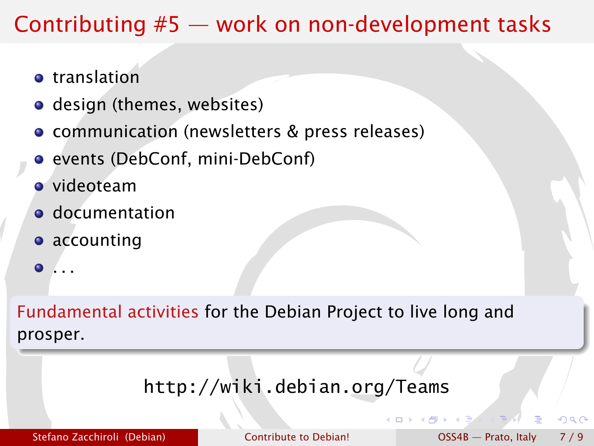## Contributing #5 — work on non-development tasks

- **o** translation
- design (themes, websites)
- communication (newsletters & press releases)
- **•** events (DebConf, mini-DebConf)
- videoteam
- **o** documentation
- **•** accounting
- . . .  $\bullet$

Fundamental activities for the Debian Project to live long and prosper.

#### <http://wiki.debian.org/Teams>

Stefano Zacchiroli (Debian) [Contribute to Debian!](#page-0-0) COSS4B — Prato, Italy 7/9

 $\cap$  a  $\cap$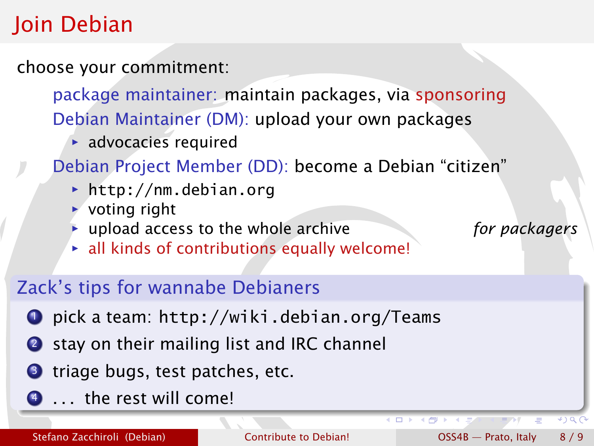# Join Debian

choose your commitment:

package maintainer: maintain packages, via sponsoring Debian Maintainer (DM): upload your own packages

**advocacies required** 

Debian Project Member (DD): become a Debian "citizen"

- *<sup>ñ</sup>* <http://nm.debian.org>
- $\rightarrow$  voting right
- **inc** upload access to the whole archive *for packagers*
- **Exall kinds of contributions equally welcome!**

#### Zack's tips for wannabe Debianers

- <sup>1</sup> pick a team: <http://wiki.debian.org/Teams>
- 2 stay on their mailing list and IRC channel
- **3** triage bugs, test patches, etc.
- $\bullet$  ... the rest will come!

 $\leftarrow$ 

 $\bullet$  ) a  $\cap$